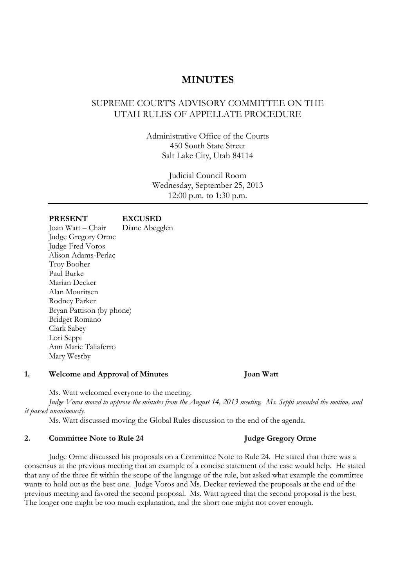## **MINUTES**

## SUPREME COURT'S ADVISORY COMMITTEE ON THE UTAH RULES OF APPELLATE PROCEDURE

Administrative Office of the Courts 450 South State Street Salt Lake City, Utah 84114

Judicial Council Room Wednesday, September 25, 2013 12:00 p.m. to 1:30 p.m.

| <b>PRESENT</b>            | <b>EXCUSED</b> |
|---------------------------|----------------|
| Joan Watt – Chair         | Diane Abegglen |
| Judge Gregory Orme        |                |
| <b>Judge Fred Voros</b>   |                |
| Alison Adams-Perlac       |                |
| Troy Booher               |                |
| Paul Burke                |                |
| Marian Decker             |                |
| Alan Mouritsen            |                |
| Rodney Parker             |                |
| Bryan Pattison (by phone) |                |
| Bridget Romano            |                |
| Clark Sabey               |                |
| Lori Seppi                |                |
| Ann Marie Taliaferro      |                |
| Mary Westby               |                |

### **1. Welcome and Approval of Minutes Joan Watt**

Ms. Watt welcomed everyone to the meeting.

*Judge Voros moved to approve the minutes from the August 14, 2013 meeting. Ms. Seppi seconded the motion, and it passed unanimously.*

Ms. Watt discussed moving the Global Rules discussion to the end of the agenda.

### 2. **Committee Note to Rule 24** Judge Gregory Orme

Judge Orme discussed his proposals on a Committee Note to Rule 24. He stated that there was a consensus at the previous meeting that an example of a concise statement of the case would help. He stated that any of the three fit within the scope of the language of the rule, but asked what example the committee wants to hold out as the best one. Judge Voros and Ms. Decker reviewed the proposals at the end of the previous meeting and favored the second proposal. Ms. Watt agreed that the second proposal is the best. The longer one might be too much explanation, and the short one might not cover enough.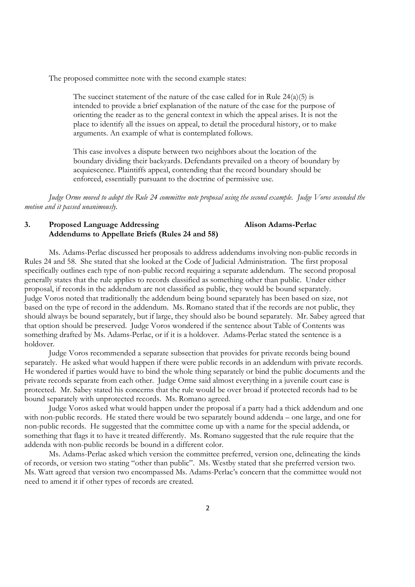The proposed committee note with the second example states:

The succinct statement of the nature of the case called for in Rule  $24(a)(5)$  is intended to provide a brief explanation of the nature of the case for the purpose of orienting the reader as to the general context in which the appeal arises. It is not the place to identify all the issues on appeal, to detail the procedural history, or to make arguments. An example of what is contemplated follows.

This case involves a dispute between two neighbors about the location of the boundary dividing their backyards. Defendants prevailed on a theory of boundary by acquiescence. Plaintiffs appeal, contending that the record boundary should be enforced, essentially pursuant to the doctrine of permissive use.

*Judge Orme moved to adopt the Rule 24 committee note proposal using the second example. Judge Voros seconded the motion and it passed unanimously.* 

### **3. Proposed Language Addressing Alison Adams-Perlac Addendums to Appellate Briefs (Rules 24 and 58)**

Ms. Adams-Perlac discussed her proposals to address addendums involving non-public records in Rules 24 and 58. She stated that she looked at the Code of Judicial Administration. The first proposal specifically outlines each type of non-public record requiring a separate addendum. The second proposal generally states that the rule applies to records classified as something other than public. Under either proposal, if records in the addendum are not classified as public, they would be bound separately. Judge Voros noted that traditionally the addendum being bound separately has been based on size, not based on the type of record in the addendum. Ms. Romano stated that if the records are not public, they should always be bound separately, but if large, they should also be bound separately. Mr. Sabey agreed that that option should be preserved. Judge Voros wondered if the sentence about Table of Contents was something drafted by Ms. Adams-Perlac, or if it is a holdover. Adams-Perlac stated the sentence is a holdover.

Judge Voros recommended a separate subsection that provides for private records being bound separately. He asked what would happen if there were public records in an addendum with private records. He wondered if parties would have to bind the whole thing separately or bind the public documents and the private records separate from each other. Judge Orme said almost everything in a juvenile court case is protected. Mr. Sabey stated his concerns that the rule would be over broad if protected records had to be bound separately with unprotected records. Ms. Romano agreed.

Judge Voros asked what would happen under the proposal if a party had a thick addendum and one with non-public records. He stated there would be two separately bound addenda – one large, and one for non-public records. He suggested that the committee come up with a name for the special addenda, or something that flags it to have it treated differently. Ms. Romano suggested that the rule require that the addenda with non-public records be bound in a different color.

Ms. Adams-Perlac asked which version the committee preferred, version one, delineating the kinds of records, or version two stating "other than public". Ms. Westby stated that she preferred version two. Ms. Watt agreed that version two encompassed Ms. Adams-Perlac's concern that the committee would not need to amend it if other types of records are created.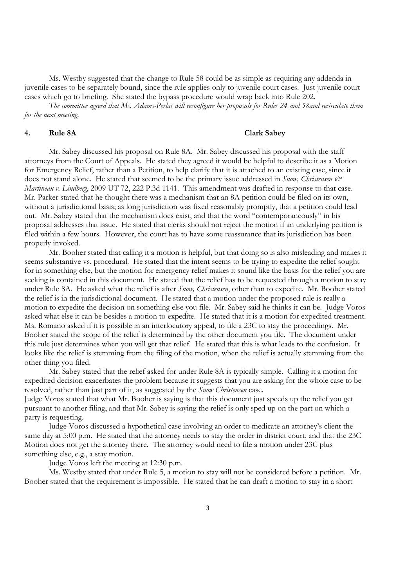Ms. Westby suggested that the change to Rule 58 could be as simple as requiring any addenda in juvenile cases to be separately bound, since the rule applies only to juvenile court cases. Just juvenile court cases which go to briefing. She stated the bypass procedure would wrap back into Rule 202.

*The committee agreed that Ms. Adams-Perlac will reconfigure her proposals for Rules 24 and 58and recirculate them for the next meeting.* 

### **4. Rule 8A Clark Sabey**

Mr. Sabey discussed his proposal on Rule 8A. Mr. Sabey discussed his proposal with the staff attorneys from the Court of Appeals. He stated they agreed it would be helpful to describe it as a Motion for Emergency Relief, rather than a Petition, to help clarify that it is attached to an existing case, since it does not stand alone. He stated that seemed to be the primary issue addressed in *Snow, Christensen & Martineau v. Lindberg*, 2009 UT 72, 222 P.3d 1141. This amendment was drafted in response to that case. Mr. Parker stated that he thought there was a mechanism that an 8A petition could be filed on its own, without a jurisdictional basis; as long jurisdiction was fixed reasonably promptly, that a petition could lead out. Mr. Sabey stated that the mechanism does exist, and that the word "contemporaneously" in his proposal addresses that issue. He stated that clerks should not reject the motion if an underlying petition is filed within a few hours. However, the court has to have some reassurance that its jurisdiction has been properly invoked.

Mr. Booher stated that calling it a motion is helpful, but that doing so is also misleading and makes it seems substantive vs. procedural. He stated that the intent seems to be trying to expedite the relief sought for in something else, but the motion for emergency relief makes it sound like the basis for the relief you are seeking is contained in this document. He stated that the relief has to be requested through a motion to stay under Rule 8A. He asked what the relief is after *Snow, Christensen*, other than to expedite. Mr. Booher stated the relief is in the jurisdictional document. He stated that a motion under the proposed rule is really a motion to expedite the decision on something else you file. Mr. Sabey said he thinks it can be. Judge Voros asked what else it can be besides a motion to expedite. He stated that it is a motion for expedited treatment. Ms. Romano asked if it is possible in an interlocutory appeal, to file a 23C to stay the proceedings. Mr. Booher stated the scope of the relief is determined by the other document you file. The document under this rule just determines when you will get that relief. He stated that this is what leads to the confusion. It looks like the relief is stemming from the filing of the motion, when the relief is actually stemming from the other thing you filed.

Mr. Sabey stated that the relief asked for under Rule 8A is typically simple. Calling it a motion for expedited decision exacerbates the problem because it suggests that you are asking for the whole case to be resolved, rather than just part of it, as suggested by the *Snow Christensen* case.

Judge Voros stated that what Mr. Booher is saying is that this document just speeds up the relief you get pursuant to another filing, and that Mr. Sabey is saying the relief is only sped up on the part on which a party is requesting.

Judge Voros discussed a hypothetical case involving an order to medicate an attorney's client the same day at 5:00 p.m. He stated that the attorney needs to stay the order in district court, and that the 23C Motion does not get the attorney there. The attorney would need to file a motion under 23C plus something else, e.g., a stay motion.

Judge Voros left the meeting at 12:30 p.m.

Ms. Westby stated that under Rule 5, a motion to stay will not be considered before a petition. Mr. Booher stated that the requirement is impossible. He stated that he can draft a motion to stay in a short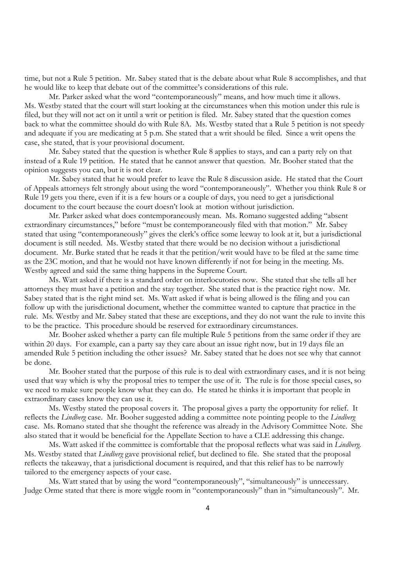time, but not a Rule 5 petition. Mr. Sabey stated that is the debate about what Rule 8 accomplishes, and that he would like to keep that debate out of the committee's considerations of this rule.

Mr. Parker asked what the word "contemporaneously" means, and how much time it allows. Ms. Westby stated that the court will start looking at the circumstances when this motion under this rule is filed, but they will not act on it until a writ or petition is filed. Mr. Sabey stated that the question comes back to what the committee should do with Rule 8A. Ms. Westby stated that a Rule 5 petition is not speedy and adequate if you are medicating at 5 p.m. She stated that a writ should be filed. Since a writ opens the case, she stated, that is your provisional document.

Mr. Sabey stated that the question is whether Rule 8 applies to stays, and can a party rely on that instead of a Rule 19 petition. He stated that he cannot answer that question. Mr. Booher stated that the opinion suggests you can, but it is not clear.

Mr. Sabey stated that he would prefer to leave the Rule 8 discussion aside. He stated that the Court of Appeals attorneys felt strongly about using the word "contemporaneously". Whether you think Rule 8 or Rule 19 gets you there, even if it is a few hours or a couple of days, you need to get a jurisdictional document to the court because the court doesn't look at motion without jurisdiction.

Mr. Parker asked what does contemporaneously mean. Ms. Romano suggested adding "absent extraordinary circumstances," before "must be contemporaneously filed with that motion." Mr. Sabey stated that using "contemporaneously" gives the clerk's office some leeway to look at it, but a jurisdictional document is still needed. Ms. Westby stated that there would be no decision without a jurisdictional document. Mr. Burke stated that he reads it that the petition/writ would have to be filed at the same time as the 23C motion, and that he would not have known differently if not for being in the meeting. Ms. Westby agreed and said the same thing happens in the Supreme Court.

Ms. Watt asked if there is a standard order on interlocutories now. She stated that she tells all her attorneys they must have a petition and the stay together. She stated that is the practice right now. Mr. Sabey stated that is the right mind set. Ms. Watt asked if what is being allowed is the filing and you can follow up with the jurisdictional document, whether the committee wanted to capture that practice in the rule. Ms. Westby and Mr. Sabey stated that these are exceptions, and they do not want the rule to invite this to be the practice. This procedure should be reserved for extraordinary circumstances.

Mr. Booher asked whether a party can file multiple Rule 5 petitions from the same order if they are within 20 days. For example, can a party say they care about an issue right now, but in 19 days file an amended Rule 5 petition including the other issues? Mr. Sabey stated that he does not see why that cannot be done.

Mr. Booher stated that the purpose of this rule is to deal with extraordinary cases, and it is not being used that way which is why the proposal tries to temper the use of it. The rule is for those special cases, so we need to make sure people know what they can do. He stated he thinks it is important that people in extraordinary cases know they can use it.

Ms. Westby stated the proposal covers it. The proposal gives a party the opportunity for relief. It reflects the *Lindberg* case. Mr. Booher suggested adding a committee note pointing people to the *Lindberg* case. Ms. Romano stated that she thought the reference was already in the Advisory Committee Note. She also stated that it would be beneficial for the Appellate Section to have a CLE addressing this change.

Ms. Watt asked if the committee is comfortable that the proposal reflects what was said in *Lindberg*. Ms. Westby stated that *Lindberg* gave provisional relief, but declined to file. She stated that the proposal reflects the takeaway, that a jurisdictional document is required, and that this relief has to be narrowly tailored to the emergency aspects of your case.

Ms. Watt stated that by using the word "contemporaneously", "simultaneously" is unnecessary. Judge Orme stated that there is more wiggle room in "contemporaneously" than in "simultaneously". Mr.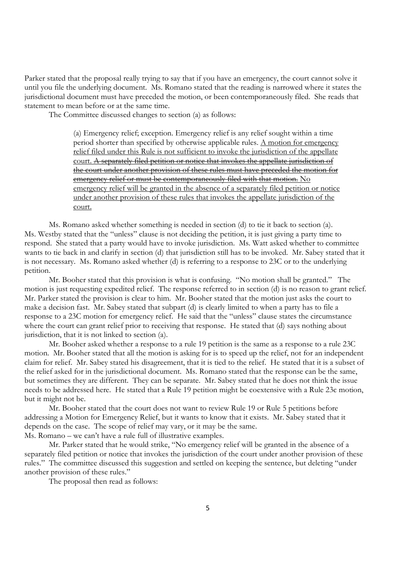Parker stated that the proposal really trying to say that if you have an emergency, the court cannot solve it until you file the underlying document. Ms. Romano stated that the reading is narrowed where it states the jurisdictional document must have preceded the motion, or been contemporaneously filed. She reads that statement to mean before or at the same time.

The Committee discussed changes to section (a) as follows:

(a) Emergency relief; exception. Emergency relief is any relief sought within a time period shorter than specified by otherwise applicable rules. A motion for emergency relief filed under this Rule is not sufficient to invoke the jurisdiction of the appellate court. A separately filed petition or notice that invokes the appellate jurisdiction of the court under another provision of these rules must have preceded the motion for emergency relief or must be contemporaneously filed with that motion. No emergency relief will be granted in the absence of a separately filed petition or notice under another provision of these rules that invokes the appellate jurisdiction of the court.

Ms. Romano asked whether something is needed in section (d) to tie it back to section (a). Ms. Westby stated that the "unless" clause is not deciding the petition, it is just giving a party time to respond. She stated that a party would have to invoke jurisdiction. Ms. Watt asked whether to committee wants to tie back in and clarify in section (d) that jurisdiction still has to be invoked. Mr. Sabey stated that it is not necessary. Ms. Romano asked whether (d) is referring to a response to 23C or to the underlying petition.

Mr. Booher stated that this provision is what is confusing. "No motion shall be granted." The motion is just requesting expedited relief. The response referred to in section (d) is no reason to grant relief. Mr. Parker stated the provision is clear to him. Mr. Booher stated that the motion just asks the court to make a decision fast. Mr. Sabey stated that subpart (d) is clearly limited to when a party has to file a response to a 23C motion for emergency relief. He said that the "unless" clause states the circumstance where the court can grant relief prior to receiving that response. He stated that (d) says nothing about jurisdiction, that it is not linked to section (a).

Mr. Booher asked whether a response to a rule 19 petition is the same as a response to a rule 23C motion. Mr. Booher stated that all the motion is asking for is to speed up the relief, not for an independent claim for relief. Mr. Sabey stated his disagreement, that it is tied to the relief. He stated that it is a subset of the relief asked for in the jurisdictional document. Ms. Romano stated that the response can be the same, but sometimes they are different. They can be separate. Mr. Sabey stated that he does not think the issue needs to be addressed here. He stated that a Rule 19 petition might be coextensive with a Rule 23c motion, but it might not be.

Mr. Booher stated that the court does not want to review Rule 19 or Rule 5 petitions before addressing a Motion for Emergency Relief, but it wants to know that it exists. Mr. Sabey stated that it depends on the case. The scope of relief may vary, or it may be the same. Ms. Romano – we can't have a rule full of illustrative examples.

 Mr. Parker stated that he would strike, "No emergency relief will be granted in the absence of a separately filed petition or notice that invokes the jurisdiction of the court under another provision of these rules." The committee discussed this suggestion and settled on keeping the sentence, but deleting "under another provision of these rules."

The proposal then read as follows: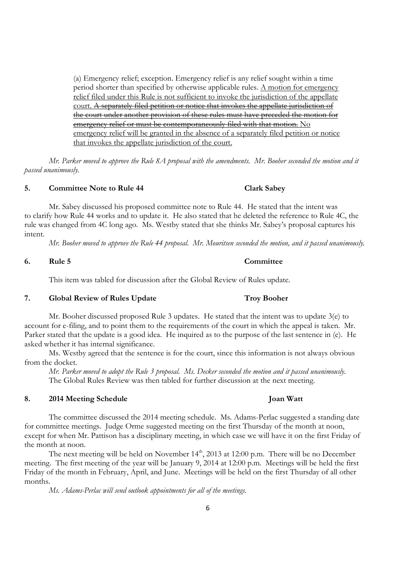(a) Emergency relief; exception. Emergency relief is any relief sought within a time period shorter than specified by otherwise applicable rules. A motion for emergency relief filed under this Rule is not sufficient to invoke the jurisdiction of the appellate court. A separately filed petition or notice that invokes the appellate jurisdiction of the court under another provision of these rules must have preceded the motion for emergency relief or must be contemporaneously filed with that motion. No emergency relief will be granted in the absence of a separately filed petition or notice that invokes the appellate jurisdiction of the court.

*Mr. Parker moved to approve the Rule 8A proposal with the amendments. Mr. Booher seconded the motion and it passed unanimously.* 

### **5. Committee Note to Rule 44 Clark Sabey**

Mr. Sabey discussed his proposed committee note to Rule 44. He stated that the intent was to clarify how Rule 44 works and to update it. He also stated that he deleted the reference to Rule 4C, the rule was changed from 4C long ago. Ms. Westby stated that she thinks Mr. Sabey's proposal captures his intent.

*Mr. Booher moved to approve the Rule 44 proposal. Mr. Mouritsen seconded the motion, and it passed unanimously.* 

### **6. Rule 5 Committee**

This item was tabled for discussion after the Global Review of Rules update.

### 7. **Global Review of Rules Update** Troy Booher

Mr. Booher discussed proposed Rule 3 updates. He stated that the intent was to update 3(e) to account for e-filing, and to point them to the requirements of the court in which the appeal is taken. Mr. Parker stated that the update is a good idea. He inquired as to the purpose of the last sentence in (e). He asked whether it has internal significance.

Ms. Westby agreed that the sentence is for the court, since this information is not always obvious from the docket.

*Mr. Parker moved to adopt the Rule 3 proposal. Ms. Decker seconded the motion and it passed unanimously.*  The Global Rules Review was then tabled for further discussion at the next meeting.

### **8. 2014 Meeting Schedule Joan Watt**

The committee discussed the 2014 meeting schedule. Ms. Adams-Perlac suggested a standing date for committee meetings. Judge Orme suggested meeting on the first Thursday of the month at noon, except for when Mr. Pattison has a disciplinary meeting, in which case we will have it on the first Friday of the month at noon.

The next meeting will be held on November 14<sup>th</sup>, 2013 at 12:00 p.m. There will be no December meeting. The first meeting of the year will be January 9, 2014 at 12:00 p.m. Meetings will be held the first Friday of the month in February, April, and June. Meetings will be held on the first Thursday of all other months.

*Ms. Adams-Perlac will send outlook appointments for all of the meetings.*